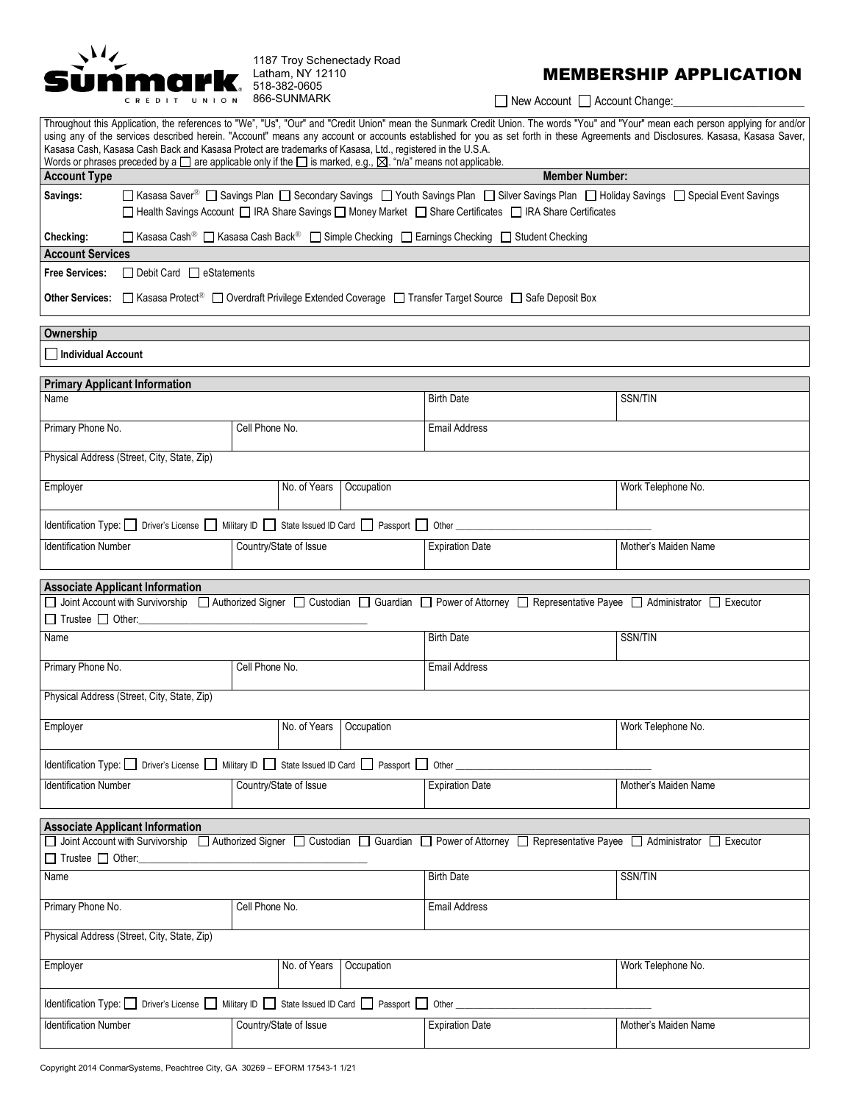

## MEMBERSHIP APPLICATION

New Account **Account Change:** 

| Throughout this Application, the references to "We", "Us", "Our" and "Credit Union" mean the Sunmark Credit Union. The words "You" and "Your" mean each person applying for and/or<br>using any of the services described herein. "Account" means any account or accounts established for you as set forth in these Agreements and Disclosures. Kasasa, Kasasa Saver,<br>Kasasa Cash, Kasasa Cash Back and Kasasa Protect are trademarks of Kasasa, Ltd., registered in the U.S.A.<br>Words or phrases preceded by a $\square$ are applicable only if the $\square$ is marked, e.g., $\square$ . "n/a" means not applicable. |                                                                                                                                                                                                                                                                  |                        |                      |  |  |
|------------------------------------------------------------------------------------------------------------------------------------------------------------------------------------------------------------------------------------------------------------------------------------------------------------------------------------------------------------------------------------------------------------------------------------------------------------------------------------------------------------------------------------------------------------------------------------------------------------------------------|------------------------------------------------------------------------------------------------------------------------------------------------------------------------------------------------------------------------------------------------------------------|------------------------|----------------------|--|--|
| <b>Account Type</b>                                                                                                                                                                                                                                                                                                                                                                                                                                                                                                                                                                                                          |                                                                                                                                                                                                                                                                  | <b>Member Number:</b>  |                      |  |  |
| Savings:                                                                                                                                                                                                                                                                                                                                                                                                                                                                                                                                                                                                                     | □ Kasasa Saver <sup>®</sup> □ Savings Plan □ Secondary Savings □ Youth Savings Plan □ Silver Savings Plan □ Holiday Savings □ Special Event Savings<br>□ Health Savings Account □ IRA Share Savings □ Money Market □ Share Certificates □ IRA Share Certificates |                        |                      |  |  |
| Checking:                                                                                                                                                                                                                                                                                                                                                                                                                                                                                                                                                                                                                    | □ Kasasa Cash <sup>®</sup> □ Kasasa Cash Back <sup>®</sup> □ Simple Checking □ Earnings Checking □ Student Checking                                                                                                                                              |                        |                      |  |  |
| <b>Account Services</b>                                                                                                                                                                                                                                                                                                                                                                                                                                                                                                                                                                                                      |                                                                                                                                                                                                                                                                  |                        |                      |  |  |
| <b>Free Services:</b><br>□ Debit Card □ eStatements                                                                                                                                                                                                                                                                                                                                                                                                                                                                                                                                                                          |                                                                                                                                                                                                                                                                  |                        |                      |  |  |
| Other Services: □ Kasasa Protect <sup>®</sup> □ Overdraft Privilege Extended Coverage □ Transfer Target Source □ Safe Deposit Box                                                                                                                                                                                                                                                                                                                                                                                                                                                                                            |                                                                                                                                                                                                                                                                  |                        |                      |  |  |
| Ownership                                                                                                                                                                                                                                                                                                                                                                                                                                                                                                                                                                                                                    |                                                                                                                                                                                                                                                                  |                        |                      |  |  |
| Individual Account                                                                                                                                                                                                                                                                                                                                                                                                                                                                                                                                                                                                           |                                                                                                                                                                                                                                                                  |                        |                      |  |  |
| <b>Primary Applicant Information</b>                                                                                                                                                                                                                                                                                                                                                                                                                                                                                                                                                                                         |                                                                                                                                                                                                                                                                  |                        |                      |  |  |
| Name                                                                                                                                                                                                                                                                                                                                                                                                                                                                                                                                                                                                                         |                                                                                                                                                                                                                                                                  | <b>Birth Date</b>      | SSN/TIN              |  |  |
| Primary Phone No.                                                                                                                                                                                                                                                                                                                                                                                                                                                                                                                                                                                                            | Cell Phone No.                                                                                                                                                                                                                                                   | <b>Email Address</b>   |                      |  |  |
| Physical Address (Street, City, State, Zip)                                                                                                                                                                                                                                                                                                                                                                                                                                                                                                                                                                                  |                                                                                                                                                                                                                                                                  |                        |                      |  |  |
| Employer                                                                                                                                                                                                                                                                                                                                                                                                                                                                                                                                                                                                                     | No. of Years<br>Occupation                                                                                                                                                                                                                                       |                        | Work Telephone No.   |  |  |
|                                                                                                                                                                                                                                                                                                                                                                                                                                                                                                                                                                                                                              | Identification Type: Diver's License Military ID State Issued ID Card Passport Other                                                                                                                                                                             |                        |                      |  |  |
| <b>Identification Number</b>                                                                                                                                                                                                                                                                                                                                                                                                                                                                                                                                                                                                 | Country/State of Issue                                                                                                                                                                                                                                           | <b>Expiration Date</b> | Mother's Maiden Name |  |  |
|                                                                                                                                                                                                                                                                                                                                                                                                                                                                                                                                                                                                                              |                                                                                                                                                                                                                                                                  |                        |                      |  |  |
| <b>Associate Applicant Information</b><br>□ Joint Account with Survivorship □ Authorized Signer □ Custodian □ Guardian □ Power of Attorney □ Representative Payee □ Administrator □ Executor<br>$\Box$ Trustee $\Box$ Other:                                                                                                                                                                                                                                                                                                                                                                                                 |                                                                                                                                                                                                                                                                  |                        |                      |  |  |
| Name                                                                                                                                                                                                                                                                                                                                                                                                                                                                                                                                                                                                                         |                                                                                                                                                                                                                                                                  | <b>Birth Date</b>      | SSN/TIN              |  |  |
| Primary Phone No.                                                                                                                                                                                                                                                                                                                                                                                                                                                                                                                                                                                                            | Cell Phone No.                                                                                                                                                                                                                                                   | <b>Email Address</b>   |                      |  |  |
| Physical Address (Street, City, State, Zip)                                                                                                                                                                                                                                                                                                                                                                                                                                                                                                                                                                                  |                                                                                                                                                                                                                                                                  |                        |                      |  |  |
| Employer                                                                                                                                                                                                                                                                                                                                                                                                                                                                                                                                                                                                                     | No. of Years<br>Occupation                                                                                                                                                                                                                                       |                        | Work Telephone No.   |  |  |
| Identification Type: Diver's License Military ID State Issued ID Card D Passport D Other                                                                                                                                                                                                                                                                                                                                                                                                                                                                                                                                     |                                                                                                                                                                                                                                                                  |                        |                      |  |  |
| <b>Identification Number</b>                                                                                                                                                                                                                                                                                                                                                                                                                                                                                                                                                                                                 | Country/State of Issue                                                                                                                                                                                                                                           | <b>Expiration Date</b> | Mother's Maiden Name |  |  |
|                                                                                                                                                                                                                                                                                                                                                                                                                                                                                                                                                                                                                              |                                                                                                                                                                                                                                                                  |                        |                      |  |  |
| <b>Associate Applicant Information</b><br>□ Joint Account with Survivorship □ Authorized Signer □ Custodian □ Guardian □ Power of Attorney □ Representative Payee □ Administrator □ Executor<br>□ Trustee □ Other:                                                                                                                                                                                                                                                                                                                                                                                                           |                                                                                                                                                                                                                                                                  |                        |                      |  |  |
| Name                                                                                                                                                                                                                                                                                                                                                                                                                                                                                                                                                                                                                         |                                                                                                                                                                                                                                                                  |                        | SSN/TIN              |  |  |
| Primary Phone No.                                                                                                                                                                                                                                                                                                                                                                                                                                                                                                                                                                                                            | Cell Phone No.                                                                                                                                                                                                                                                   | <b>Email Address</b>   |                      |  |  |
| Physical Address (Street, City, State, Zip)                                                                                                                                                                                                                                                                                                                                                                                                                                                                                                                                                                                  |                                                                                                                                                                                                                                                                  |                        |                      |  |  |
| No. of Years<br>Occupation<br>Employer                                                                                                                                                                                                                                                                                                                                                                                                                                                                                                                                                                                       |                                                                                                                                                                                                                                                                  |                        | Work Telephone No.   |  |  |
| Identification Type: Diver's License Military ID State Issued ID Card Passport Other                                                                                                                                                                                                                                                                                                                                                                                                                                                                                                                                         |                                                                                                                                                                                                                                                                  |                        |                      |  |  |
| <b>Identification Number</b>                                                                                                                                                                                                                                                                                                                                                                                                                                                                                                                                                                                                 | Country/State of Issue                                                                                                                                                                                                                                           | <b>Expiration Date</b> | Mother's Maiden Name |  |  |